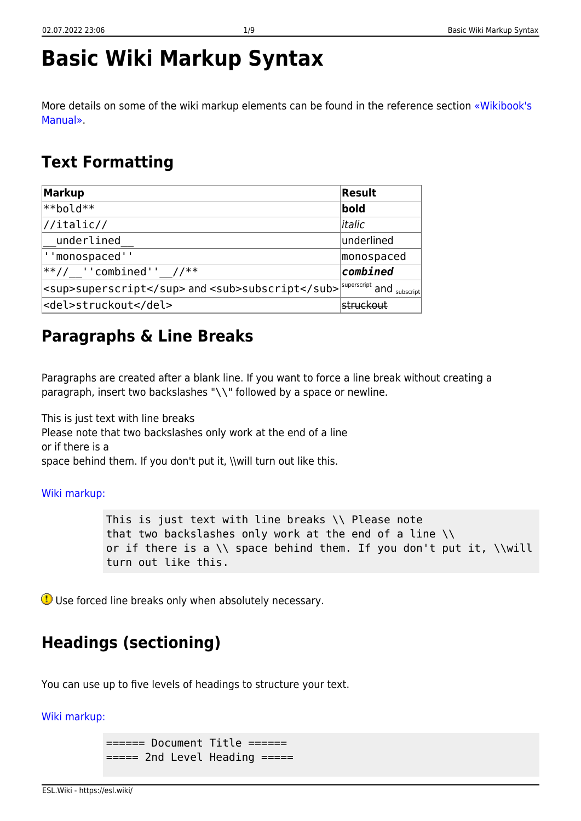# **Basic Wiki Markup Syntax**

More details on some of the wiki markup elements can be found in the reference section [«Wikibook's](https://esl.wiki/en/wiki/manual) [Manual».](https://esl.wiki/en/wiki/manual)

### **Text Formatting**

| <b>Markup</b>                                   | Result                           |
|-------------------------------------------------|----------------------------------|
| $**$ bold $**$                                  | bold                             |
| $\frac{1}{1}$                                   | litalic                          |
| underlined                                      | underlined                       |
| ' 'monospaced' '                                | monospaced                       |
| **// $'$ combined'' //**                        | combined                         |
| <sup>superscript</sup> and <sub>subscript</sub> | $\sim$ superscript and subscript |
| <del>struckout</del>                            | struckout                        |

# **Paragraphs & Line Breaks**

Paragraphs are created after a blank line. If you want to force a line break without creating a paragraph, insert two backslashes "\\" followed by a space or newline.

This is just text with line breaks Please note that two backslashes only work at the end of a line or if there is a space behind them. If you don't put it, \\will turn out like this.

#### [Wiki markup:](https://esl.wiki/_export/code/en/wiki/syntax?codeblock=0)

This is just text with line breaks \\ Please note that two backslashes only work at the end of a line \\ or if there is a \\ space behind them. If you don't put it, \\will turn out like this.

Use forced line breaks only when absolutely necessary.

# **Headings (sectioning)**

You can use up to five levels of headings to structure your text.

#### [Wiki markup:](https://esl.wiki/_export/code/en/wiki/syntax?codeblock=1)

====== Document Title ====== ====== 2nd Level Heading =====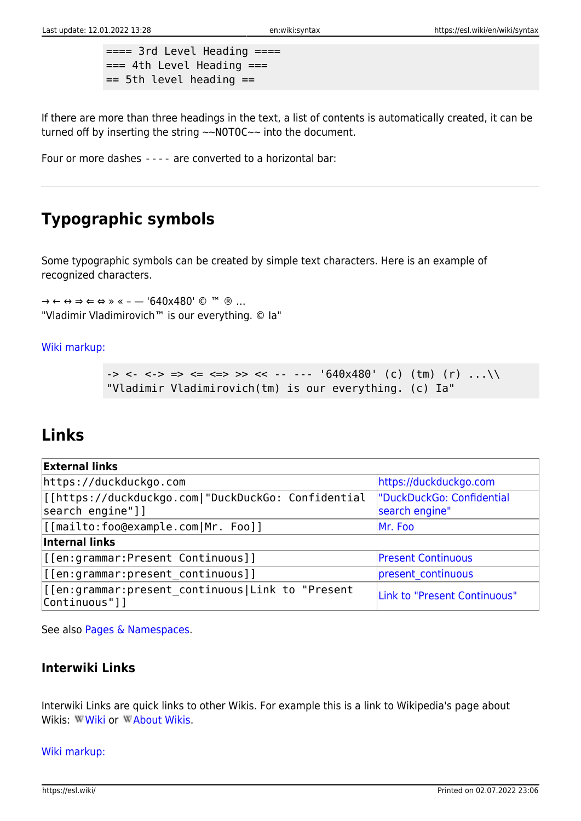$===$  3rd Level Heading  $===$  $==$  4th Level Heading  $==$  $==$  5th level heading  $==$ 

If there are more than three headings in the text, a list of contents is automatically created, it can be turned off by inserting the string ~~NOTOC~~ into the document.

Four or more dashes ---- are converted to a horizontal bar:

# **Typographic symbols**

Some typographic symbols can be created by simple text characters. Here is an example of recognized characters.

→ ← ↔ ⇒ ⇐ ⇔ » « – — '640x480' © ™ ® … "Vladimir Vladimirovich™ is our everything. © Ia"

#### [Wiki markup:](https://esl.wiki/_export/code/en/wiki/syntax?codeblock=2)

-> <- <-> => <= <=> >> << -- -- '640x480' (c) (tm) (r) ... "Vladimir Vladimirovich(tm) is our everything. (c) Ia"

### **Links**

| <b>External links</b>                                                  |                                             |
|------------------------------------------------------------------------|---------------------------------------------|
| https://duckduckgo.com                                                 | https://duckduckgo.com                      |
| [[https://duckduckgo.com "DuckDuckGo: Confidential<br>search engine"]] | "DuckDuckGo: Confidential<br>search engine" |
| [[mailto:foo@example.com Mr. Foo]]                                     | Mr. Foo                                     |
| Internal links                                                         |                                             |
| [[en:grammar:Present Continuous]]                                      | <b>Present Continuous</b>                   |
| [[[en:grammar:present continuous]]                                     | present continuous                          |
| [[en:grammar:present continuous Link to "Present<br> Continuous"]]     | Link to "Present Continuous"                |

See also [Pages & Namespaces](https://esl.wiki/en/wiki/pagename_and_namespaces).

### **Interwiki Links**

Interwiki Links are quick links to other Wikis. For example this is a link to Wikipedia's page about Wikis: WWiki or WAbout [Wiki](https://en.wikipedia.org/wiki/Wiki)s.

#### [Wiki markup:](https://esl.wiki/_export/code/en/wiki/syntax?codeblock=3)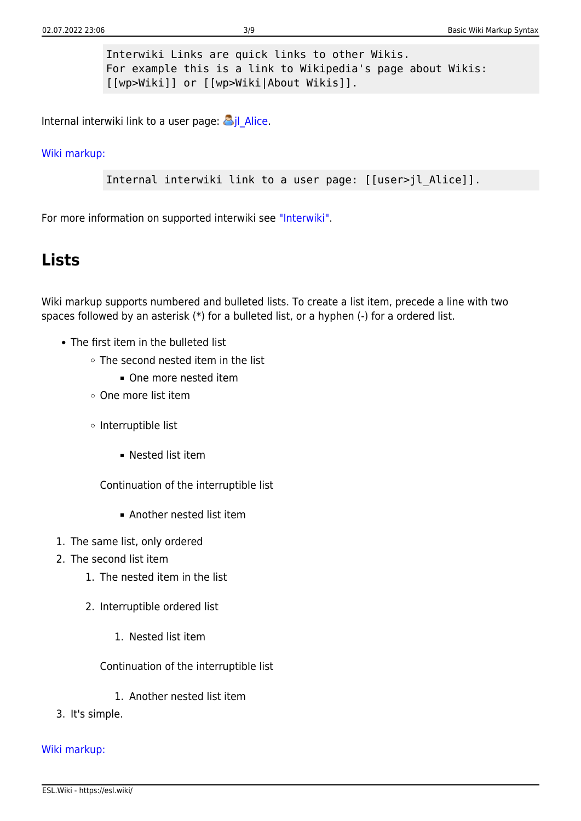Interwiki Links are quick links to other Wikis. For example this is a link to Wikipedia's page about Wikis: [[wp>Wiki]] or [[wp>Wiki|About Wikis]].

Internal interwiki link to a user page:  $\frac{1}{2}$ jl Alice.

#### [Wiki markup:](https://esl.wiki/_export/code/en/wiki/syntax?codeblock=4)

Internal interwiki link to a user page: [[user>jl\_Alice]].

For more information on supported interwiki see ["Interwiki".](https://esl.wiki/en/wiki/interwiki)

### **Lists**

Wiki markup supports numbered and bulleted lists. To create a list item, precede a line with two spaces followed by an asterisk (\*) for a bulleted list, or a hyphen (-) for a ordered list.

- The first item in the bulleted list
	- The second nested item in the list
		- One more nested item
	- One more list item
	- $\circ$  Interruptible list
		- Nested list item

Continuation of the interruptible list

- Another nested list item
- 1. The same list, only ordered
- 2. The second list item
	- 1. The nested item in the list
	- 2. Interruptible ordered list
		- 1. Nested list item

Continuation of the interruptible list

- 1. Another nested list item
- 3. It's simple.

#### [Wiki markup:](https://esl.wiki/_export/code/en/wiki/syntax?codeblock=5)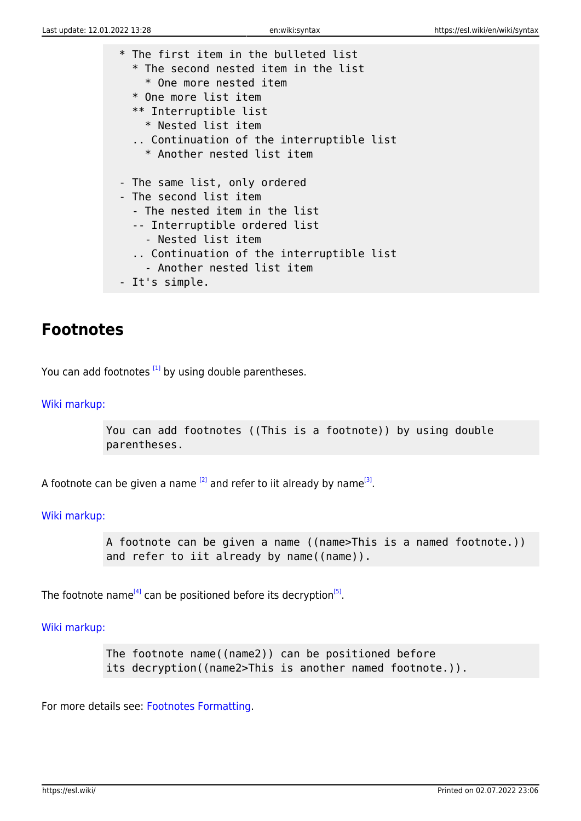\* The first item in the bulleted list \* The second nested item in the list \* One more nested item \* One more list item \*\* Interruptible list \* Nested list item .. Continuation of the interruptible list \* Another nested list item - The same list, only ordered - The second list item - The nested item in the list -- Interruptible ordered list - Nested list item .. Continuation of the interruptible list - Another nested list item - It's simple.

### **Footnotes**

<span id="page-3-0"></span>You can add footnotes  $[1]$  by using double parentheses.

#### [Wiki markup:](https://esl.wiki/_export/code/en/wiki/syntax?codeblock=6)

You can add footnotes ((This is a footnote)) by using double parentheses.

<span id="page-3-1"></span>A footnote can be given a name <sup>[\[2\]](#page-8-1)</sup> and refer to iit already by name<sup>[\[3\]](#page-8-1)</sup>.

[Wiki markup:](https://esl.wiki/_export/code/en/wiki/syntax?codeblock=7)

A footnote can be given a name ((name>This is a named footnote.)) and refer to iit already by name((name)).

<span id="page-3-2"></span>The footnote name<sup>[\[4\]](#page-8-2)</sup> can be positioned before its decryption<sup>[\[5\]](#page-8-2)</sup>.

#### [Wiki markup:](https://esl.wiki/_export/code/en/wiki/syntax?codeblock=8)

The footnote name((name2)) can be positioned before its decryption((name2>This is another named footnote.)).

For more details see: [Footnotes Formatting](https://esl.wiki/en/wiki/refnotes).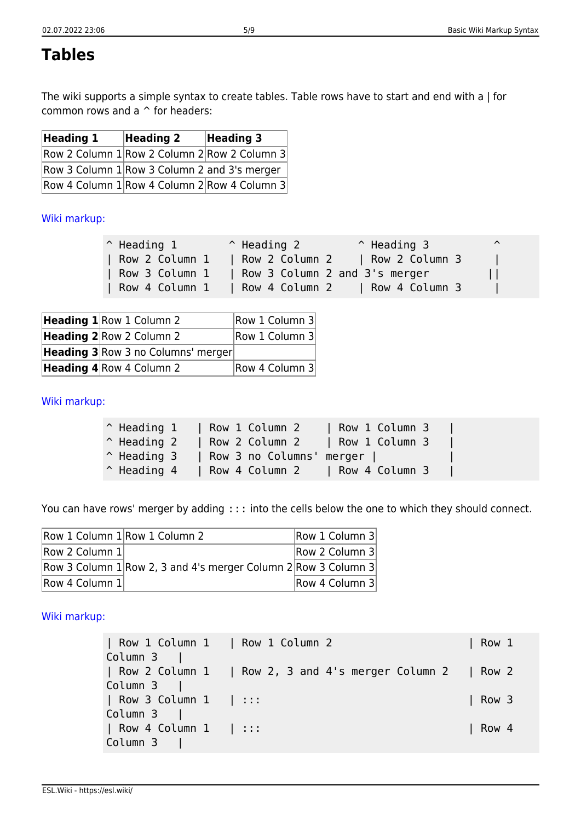# **Tables**

The wiki supports a simple syntax to create tables. Table rows have to start and end with a | for common rows and a ^ for headers:

| Heading 1                                      | <b>Heading 2</b> | <b>Heading 3</b> |  |
|------------------------------------------------|------------------|------------------|--|
| Row 2 Column 1 Row 2 Column 2 Row 2 Column 3   |                  |                  |  |
| Row 3 Column $1$ Row 3 Column 2 and 3's merger |                  |                  |  |
| Row 4 Column 1 Row 4 Column 2 Row 4 Column 3   |                  |                  |  |

### [Wiki markup:](https://esl.wiki/_export/code/en/wiki/syntax?codeblock=9)

| $\hat{}$ Heading 1 | $\hat{}$ Heading 2 | $^{\circ}$ Heading 3          | $\hat{\phantom{a}}$ |
|--------------------|--------------------|-------------------------------|---------------------|
| Row 2 Column 1     | Row 2 Column 2     | Row 2 Column 3                |                     |
| Row 3 Column 1     |                    | Row 3 Column 2 and 3's merger |                     |
| Row 4 Column 1     | Row 4 Column 2     | Row 4 Column 3                |                     |

| <b>Heading 1</b> Row 1 Column 2    |  | Row 1 Column 3 |
|------------------------------------|--|----------------|
| <b>Heading 2</b> Row 2 Column 2    |  | Row 1 Column 3 |
| Heading 3 Row 3 no Columns' merger |  |                |
| <b>Heading 4</b> Row 4 Column 2    |  | Row 4 Column 3 |

#### [Wiki markup:](https://esl.wiki/_export/code/en/wiki/syntax?codeblock=10)

| $\hat{}$ Heading 1 | Row 1 Column 2                  | Row 1 Column 3 |  |
|--------------------|---------------------------------|----------------|--|
| $\hat{}$ Heading 2 | Row 2 Column 2   Row 1 Column 3 |                |  |
| $\hat{}$ Heading 3 | Row 3 no Columns' merger        |                |  |
| $\hat{}$ Heading 4 | Row 4 Column 2 Row 4 Column 3   |                |  |

You can have rows' merger by adding ::: into the cells below the one to which they should connect.

| Row 1 Column 1 Row 1 Column 2 |                                                                    | Row 1 Column 3 |
|-------------------------------|--------------------------------------------------------------------|----------------|
| Row 2 Column 1                |                                                                    | Row 2 Column 3 |
|                               | Row 3 Column $1$ Row 2, 3 and 4's merger Column $2$ Row 3 Column 3 |                |
| Row 4 Column 1                |                                                                    | Row 4 Column 3 |

#### [Wiki markup:](https://esl.wiki/_export/code/en/wiki/syntax?codeblock=11)

| Row 1 Column 1 | Row 1 Column 2 | Row 1 Column 3 | | Row 2 Column 1 | Row 2, 3 and 4's merger Column 2 | Row 2 Column 3 | | Row 3 Column 1 | ::: | Row 3 Column 3 | | Row 4 Column 1 | ::: | Row 4 Column 3 |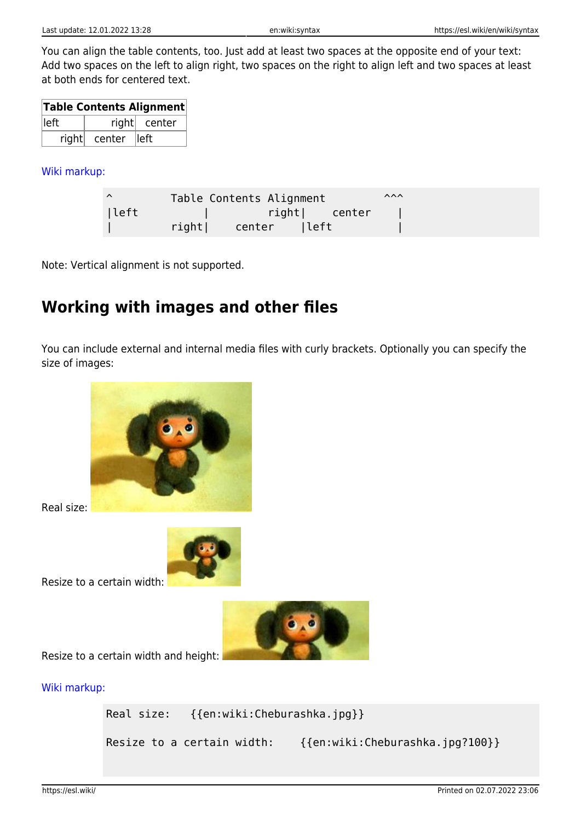You can align the table contents, too. Just add at least two spaces at the opposite end of your text: Add two spaces on the left to align right, two spaces on the right to align left and two spaces at least at both ends for centered text.

| Table Contents Alignment |                   |              |  |
|--------------------------|-------------------|--------------|--|
| lleft                    |                   | right center |  |
|                          | right center left |              |  |

[Wiki markup:](https://esl.wiki/_export/code/en/wiki/syntax?codeblock=12)

| ∧    |       | Table Contents Alignment |        | $\lambda\lambda\lambda$ |  |
|------|-------|--------------------------|--------|-------------------------|--|
| left |       | right  center            |        |                         |  |
|      | right | center                   | ∣left¦ |                         |  |

Note: Vertical alignment is not supported.

# **Working with images and other files**

You can include external and internal media files with curly brackets. Optionally you can specify the size of images:



Real size:



Resize to a certain width:



Resize to a certain width and height:

[Wiki markup:](https://esl.wiki/_export/code/en/wiki/syntax?codeblock=13)

Real size: {{en:wiki:Cheburashka.jpg}}

Resize to a certain width: {{en:wiki:Cheburashka.jpg?100}}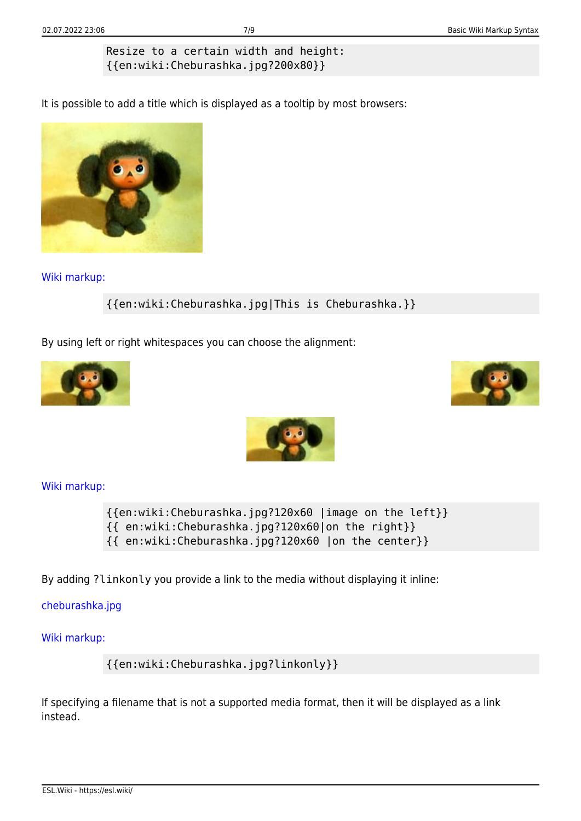### Resize to a certain width and height: {{en:wiki:Cheburashka.jpg?200x80}}

It is possible to add a title which is displayed as a tooltip by most browsers:



[Wiki markup:](https://esl.wiki/_export/code/en/wiki/syntax?codeblock=14)

{{en:wiki:Cheburashka.jpg|This is Cheburashka.}}

By using left or right whitespaces you can choose the alignment:







[Wiki markup:](https://esl.wiki/_export/code/en/wiki/syntax?codeblock=15)

{{en:wiki:Cheburashka.jpg?120x60 |image on the left}} {{ en:wiki:Cheburashka.jpg?120x60|on the right}} {{ en:wiki:Cheburashka.jpg?120x60 |on the center}}

By adding ?linkonly you provide a link to the media without displaying it inline:

[cheburashka.jpg](https://esl.wiki/_media/en/wiki/cheburashka.jpg)

[Wiki markup:](https://esl.wiki/_export/code/en/wiki/syntax?codeblock=16)

{{en:wiki:Cheburashka.jpg?linkonly}}

If specifying a filename that is not a supported media format, then it will be displayed as a link instead.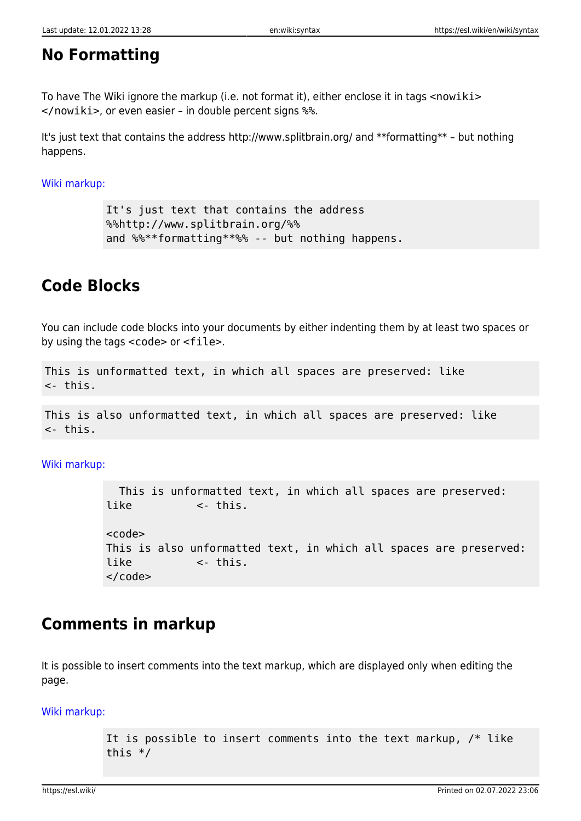### **No Formatting**

To have The Wiki ignore the markup (i.e. not format it), either enclose it in tags <nowiki> </nowiki>, or even easier – in double percent signs %%.

It's just text that contains the address http://www.splitbrain.org/ and \*\*formatting\*\* – but nothing happens.

[Wiki markup:](https://esl.wiki/_export/code/en/wiki/syntax?codeblock=17)

```
It's just text that contains the address
%%http://www.splitbrain.org/%%
and %%**formatting**%% -- but nothing happens.
```
### **Code Blocks**

You can include code blocks into your documents by either indenting them by at least two spaces or by using the tags <code> or <file>.

```
This is unformatted text, in which all spaces are preserved: like
<- this.
```

```
This is also unformatted text, in which all spaces are preserved: like
<- this.
```
[Wiki markup:](https://esl.wiki/_export/code/en/wiki/syntax?codeblock=19)

 This is unformatted text, in which all spaces are preserved: like <- this. scode></code> This is also unformatted text, in which all spaces are preserved: like <- this. </code>

### **Comments in markup**

It is possible to insert comments into the text markup, which are displayed only when editing the page.

[Wiki markup:](https://esl.wiki/_export/code/en/wiki/syntax?codeblock=20)

```
It is possible to insert comments into the text markup, /* like
this */
```